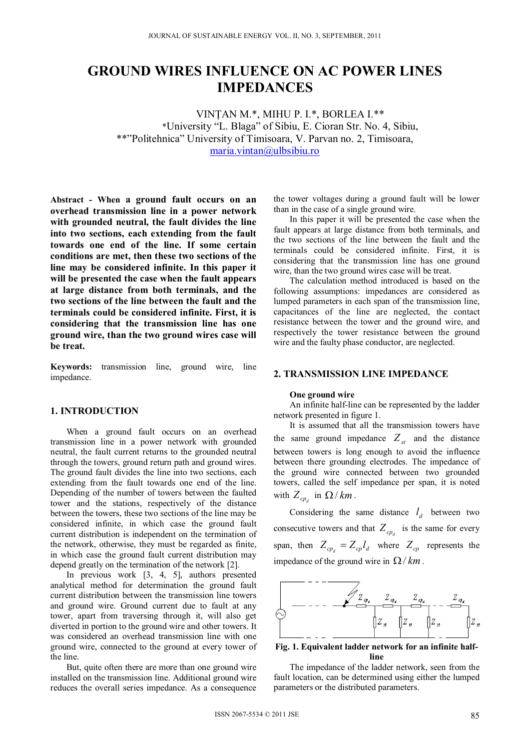# **GROUND WIRES INFLUENCE ON AC POWER LINES IMPEDANCES**

VINŢAN M.\*, MIHU P. I.\*, BORLEA I.\*\* \*University "L. Blaga" of Sibiu, E. Cioran Str. No. 4, Sibiu, \*\*"Politehnica" University of Timisoara, V. Parvan no. 2, Timisoara, maria.vintan@ulbsibiu.ro

**Abstract - When a ground fault occurs on an overhead transmission line in a power network with grounded neutral, the fault divides the line into two sections, each extending from the fault towards one end of the line. If some certain conditions are met, then these two sections of the line may be considered infinite. In this paper it will be presented the case when the fault appears at large distance from both terminals, and the two sections of the line between the fault and the terminals could be considered infinite. First, it is considering that the transmission line has one ground wire, than the two ground wires case will be treat.** 

**Keywords:** transmission line, ground wire, line impedance.

### **1. INTRODUCTION**

When a ground fault occurs on an overhead transmission line in a power network with grounded neutral, the fault current returns to the grounded neutral through the towers, ground return path and ground wires. The ground fault divides the line into two sections, each extending from the fault towards one end of the line. Depending of the number of towers between the faulted tower and the stations, respectively of the distance between the towers, these two sections of the line may be considered infinite, in which case the ground fault current distribution is independent on the termination of the network, otherwise, they must be regarded as finite, in which case the ground fault current distribution may depend greatly on the termination of the network [2].

In previous work [3, 4, 5], authors presented analytical method for determination the ground fault current distribution between the transmission line towers and ground wire. Ground current due to fault at any tower, apart from traversing through it, will also get diverted in portion to the ground wire and other towers. It was considered an overhead transmission line with one ground wire, connected to the ground at every tower of the line.

But, quite often there are more than one ground wire installed on the transmission line. Additional ground wire reduces the overall series impedance. As a consequence

the tower voltages during a ground fault will be lower than in the case of a single ground wire.

In this paper it will be presented the case when the fault appears at large distance from both terminals, and the two sections of the line between the fault and the terminals could be considered infinite. First, it is considering that the transmission line has one ground wire, than the two ground wires case will be treat.

The calculation method introduced is based on the following assumptions: impedances are considered as lumped parameters in each span of the transmission line, capacitances of the line are neglected, the contact resistance between the tower and the ground wire, and respectively the tower resistance between the ground wire and the faulty phase conductor, are neglected.

#### **2. TRANSMISSION LINE IMPEDANCE**

#### **One ground wire**

An infinite half-line can be represented by the ladder network presented in figure 1.

It is assumed that all the transmission towers have the same ground impedance  $Z_{st}$  and the distance between towers is long enough to avoid the influence between there grounding electrodes. The impedance of the ground wire connected between two grounded towers, called the self impedance per span, it is noted with  $Z_{cp}$ , in  $\Omega/km$ .

Considering the same distance  $l_d$  between two consecutive towers and that  $Z_{cp}$  is the same for every span, then  $Z_{cp} = Z_{cp} l_d$  where  $Z_{cp}$  represents the impedance of the ground wire in  $\Omega/km$ .



**Fig. 1. Equivalent ladder network for an infinite halfline** 

The impedance of the ladder network, seen from the fault location, can be determined using either the lumped parameters or the distributed parameters.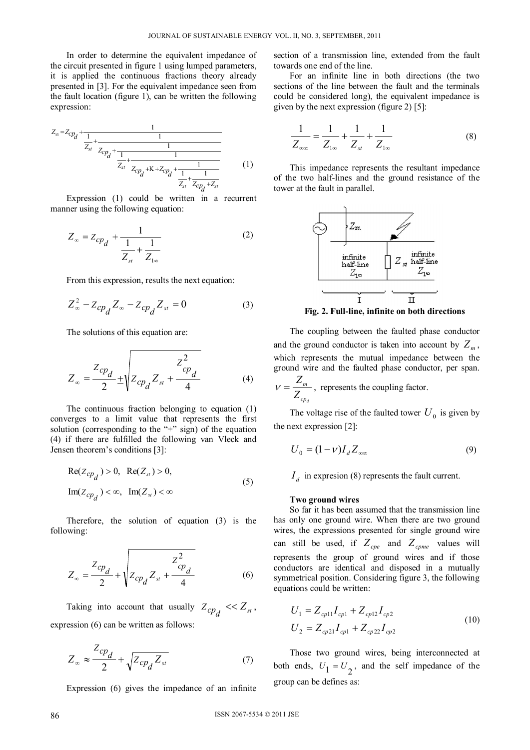In order to determine the equivalent impedance of the circuit presented in figure 1 using lumped parameters, it is applied the continuous fractions theory already presented in [3]. For the equivalent impedance seen from the fault location (figure 1), can be written the following expression:

$$
Z_{\infty} = Z_{CP_d} + \frac{1}{\frac{Z_{st}}{Z_{st}} + \frac{1}{Z_{CP_d} + \frac{1}{\frac{Z_{CP_d}}{Z_{t}} + \frac{1}{Z_{CP_d} + K + Z_{CP_d} + \frac{1}{\frac{1}{Z_{st}} + \frac{1}{Z_{CP_d} + Z_{st}}}}}} \tag{1}
$$

Expression (1) could be written in a recurrent manner using the following equation:

$$
Z_{\infty} = Z_{cp_d} + \frac{1}{\frac{1}{Z_{st}} + \frac{1}{Z_{1\infty}}}
$$
 (2)

From this expression, results the next equation:

$$
Z_{\infty}^{2} - Z_{cp_{d}} Z_{\infty} - Z_{cp_{d}} Z_{st} = 0
$$
 (3)

The solutions of this equation are:

$$
Z_{\infty} = \frac{Z_{cp_d}}{2} \pm \sqrt{Z_{cp_d} Z_{st} + \frac{Z_{cp_d}^2}{4}}
$$
 (4)

The continuous fraction belonging to equation (1) converges to a limit value that represents the first solution (corresponding to the "+" sign) of the equation (4) if there are fulfilled the following van Vleck and Jensen theorem's conditions [3]:

$$
Re(Z_{cp_d}) > 0, Re(Z_{st}) > 0,
$$
  
\n
$$
Im(Z_{cp_d}) < \infty, Im(Z_{st}) < \infty
$$
\n(5)

Therefore, the solution of equation (3) is the following:

$$
Z_{\infty} = \frac{Z_{cp_d}}{2} + \sqrt{Z_{cp_d} Z_{st} + \frac{Z_{cp_d}^2}{4}}
$$
 (6)

Taking into account that usually  $Z_{cp_d} \ll Z_{st}$ , expression (6) can be written as follows:

$$
Z_{\infty} \approx \frac{Z_{cp_d}}{2} + \sqrt{Z_{cp_d} Z_{st}}
$$
 (7)

Expression (6) gives the impedance of an infinite

section of a transmission line, extended from the fault towards one end of the line.

For an infinite line in both directions (the two sections of the line between the fault and the terminals could be considered long), the equivalent impedance is given by the next expression (figure 2) [5]:

$$
\frac{1}{Z_{\infty}} = \frac{1}{Z_{1\infty}} + \frac{1}{Z_{st}} + \frac{1}{Z_{1\infty}}
$$
(8)

This impedance represents the resultant impedance of the two half-lines and the ground resistance of the tower at the fault in parallel.



**Fig. 2. Full-line, infinite on both directions**

The coupling between the faulted phase conductor and the ground conductor is taken into account by  $Z_m$ , which represents the mutual impedance between the ground wire and the faulted phase conductor, per span.

$$
V = \frac{Z_m}{Z_{cp_d}}
$$
, represents the coupling factor.

The voltage rise of the faulted tower  $U_0$  is given by the next expression [2]:

$$
U_0 = (1 - v)I_d Z_{\infty}
$$
\n<sup>(9)</sup>

 $I_d$  in expresion (8) represents the fault current.

#### **Two ground wires**

So far it has been assumed that the transmission line has only one ground wire. When there are two ground wires, the expressions presented for single ground wire can still be used, if  $Z_{cpe}$  and  $Z_{cpme}$  values will represents the group of ground wires and if those conductors are identical and disposed in a mutually symmetrical position. Considering figure 3, the following equations could be written:

$$
U_1 = Z_{cp11} I_{cp1} + Z_{cp12} I_{cp2}
$$
  
\n
$$
U_2 = Z_{cp21} I_{cp1} + Z_{cp22} I_{cp2}
$$
\n(10)

Those two ground wires, being interconnected at both ends,  $U_1 = U_2$ , and the self impedance of the group can be defines as: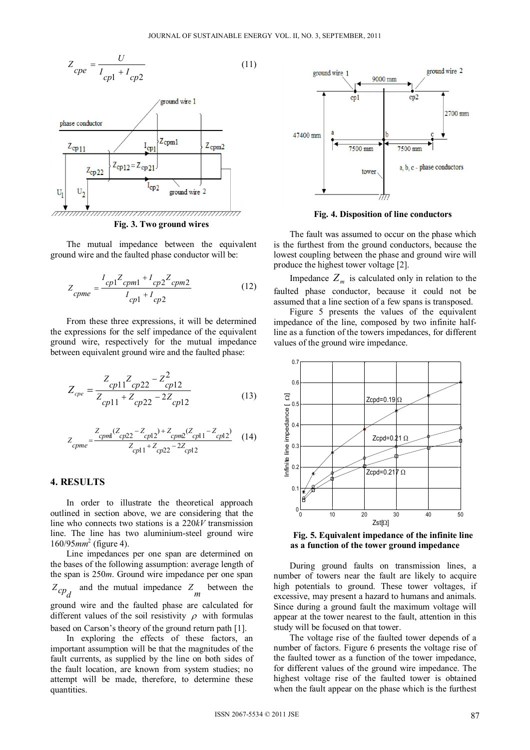$$
Z_{cpe} = \frac{U}{I_{cpl} + I_{cp2}}
$$
\n<sup>(11)</sup>



The mutual impedance between the equivalent ground wire and the faulted phase conductor will be:

$$
Z_{cpme} = \frac{I_{cp1}Z_{cpm1} + I_{cp2}Z_{cpm2}}{I_{cp1} + I_{cp2}}
$$
(12)

From these three expressions, it will be determined the expressions for the self impedance of the equivalent ground wire, respectively for the mutual impedance between equivalent ground wire and the faulted phase:

$$
Z_{cpe} = \frac{Z_{cpl1}Z_{cp22} - Z_{cpl2}^2}{Z_{cpl1} + Z_{cpl2} - 2Z_{cpl2}}
$$
(13)

$$
Z_{cpme} = \frac{Z_{cpm1}(Z_{cp22} - Z_{cp12}) + Z_{cpm2}(Z_{cp11} - Z_{cp12})}{Z_{cp11} + Z_{cp22} - 2Z_{cp12}}
$$
 (14)

### **4. RESULTS**

In order to illustrate the theoretical approach outlined in section above, we are considering that the line who connects two stations is a 220*kV* transmission line. The line has two aluminium-steel ground wire 160/95*mm*<sup>2</sup> (figure 4).

Line impedances per one span are determined on the bases of the following assumption: average length of the span is 250*m*. Ground wire impedance per one span  $Z_{cp_d}$  and the mutual impedance  $Z_m$  between the ground wire and the faulted phase are calculated for different values of the soil resistivity  $\rho$  with formulas based on Carson's theory of the ground return path [1].

In exploring the effects of these factors, an important assumption will be that the magnitudes of the fault currents, as supplied by the line on both sides of the fault location, are known from system studies; no attempt will be made, therefore, to determine these quantities.



**Fig. 4. Disposition of line conductors**

The fault was assumed to occur on the phase which is the furthest from the ground conductors, because the lowest coupling between the phase and ground wire will produce the highest tower voltage [2].

Impedance  $Z_m$  is calculated only in relation to the faulted phase conductor, because it could not be assumed that a line section of a few spans is transposed.

Figure 5 presents the values of the equivalent impedance of the line, composed by two infinite halfline as a function of the towers impedances, for different values of the ground wire impedance.



**Fig. 5. Equivalent impedance of the infinite line as a function of the tower ground impedance**

During ground faults on transmission lines, a number of towers near the fault are likely to acquire high potentials to ground. These tower voltages, if excessive, may present a hazard to humans and animals. Since during a ground fault the maximum voltage will appear at the tower nearest to the fault, attention in this study will be focused on that tower.

The voltage rise of the faulted tower depends of a number of factors. Figure 6 presents the voltage rise of the faulted tower as a function of the tower impedance, for different values of the ground wire impedance. The highest voltage rise of the faulted tower is obtained when the fault appear on the phase which is the furthest